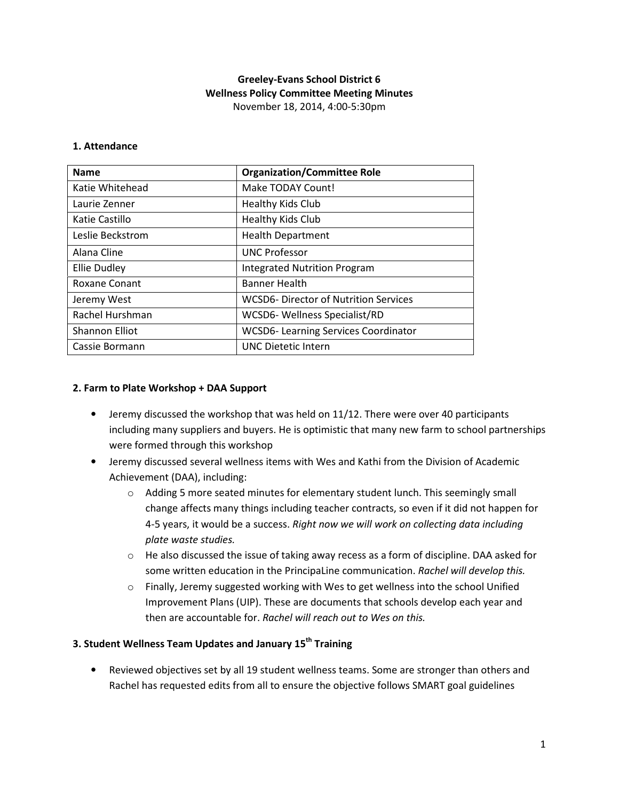# Greeley-Evans School District 6 Wellness Policy Committee Meeting Minutes November 18, 2014, 4:00-5:30pm

#### 1. Attendance

| <b>Name</b>           | <b>Organization/Committee Role</b>         |
|-----------------------|--------------------------------------------|
| Katie Whitehead       | Make TODAY Count!                          |
| Laurie Zenner         | Healthy Kids Club                          |
| Katie Castillo        | Healthy Kids Club                          |
| Leslie Beckstrom      | <b>Health Department</b>                   |
| Alana Cline           | <b>UNC Professor</b>                       |
| <b>Ellie Dudley</b>   | <b>Integrated Nutrition Program</b>        |
| Roxane Conant         | <b>Banner Health</b>                       |
| Jeremy West           | WCSD6-Director of Nutrition Services       |
| Rachel Hurshman       | WCSD6- Wellness Specialist/RD              |
| <b>Shannon Elliot</b> | <b>WCSD6-Learning Services Coordinator</b> |
| Cassie Bormann        | <b>UNC Dietetic Intern</b>                 |

### 2. Farm to Plate Workshop + DAA Support

- Jeremy discussed the workshop that was held on 11/12. There were over 40 participants including many suppliers and buyers. He is optimistic that many new farm to school partnerships were formed through this workshop
- Jeremy discussed several wellness items with Wes and Kathi from the Division of Academic Achievement (DAA), including:
	- $\circ$  Adding 5 more seated minutes for elementary student lunch. This seemingly small change affects many things including teacher contracts, so even if it did not happen for 4-5 years, it would be a success. Right now we will work on collecting data including plate waste studies.
	- $\circ$  He also discussed the issue of taking away recess as a form of discipline. DAA asked for some written education in the PrincipaLine communication. Rachel will develop this.
	- $\circ$  Finally, Jeremy suggested working with Wes to get wellness into the school Unified Improvement Plans (UIP). These are documents that schools develop each year and then are accountable for. Rachel will reach out to Wes on this.

### 3. Student Wellness Team Updates and January 15<sup>th</sup> Training

• Reviewed objectives set by all 19 student wellness teams. Some are stronger than others and Rachel has requested edits from all to ensure the objective follows SMART goal guidelines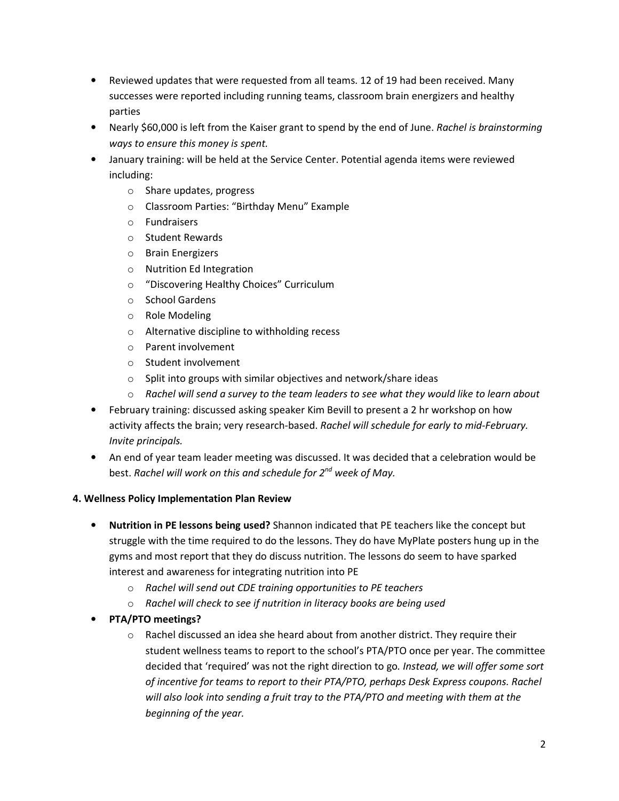- Reviewed updates that were requested from all teams. 12 of 19 had been received. Many successes were reported including running teams, classroom brain energizers and healthy parties
- Nearly \$60,000 is left from the Kaiser grant to spend by the end of June. Rachel is brainstorming ways to ensure this money is spent.
- January training: will be held at the Service Center. Potential agenda items were reviewed including:
	- o Share updates, progress
	- o Classroom Parties: "Birthday Menu" Example
	- o Fundraisers
	- o Student Rewards
	- o Brain Energizers
	- o Nutrition Ed Integration
	- o "Discovering Healthy Choices" Curriculum
	- o School Gardens
	- o Role Modeling
	- o Alternative discipline to withholding recess
	- o Parent involvement
	- o Student involvement
	- o Split into groups with similar objectives and network/share ideas
	- $\circ$  Rachel will send a survey to the team leaders to see what they would like to learn about
- February training: discussed asking speaker Kim Bevill to present a 2 hr workshop on how activity affects the brain; very research-based. Rachel will schedule for early to mid-February. Invite principals.
- An end of year team leader meeting was discussed. It was decided that a celebration would be best. Rachel will work on this and schedule for 2<sup>nd</sup> week of May.

# 4. Wellness Policy Implementation Plan Review

- Nutrition in PE lessons being used? Shannon indicated that PE teachers like the concept but struggle with the time required to do the lessons. They do have MyPlate posters hung up in the gyms and most report that they do discuss nutrition. The lessons do seem to have sparked interest and awareness for integrating nutrition into PE
	- o Rachel will send out CDE training opportunities to PE teachers
	- o Rachel will check to see if nutrition in literacy books are being used
- PTA/PTO meetings?
	- $\circ$  Rachel discussed an idea she heard about from another district. They require their student wellness teams to report to the school's PTA/PTO once per year. The committee decided that 'required' was not the right direction to go. Instead, we will offer some sort of incentive for teams to report to their PTA/PTO, perhaps Desk Express coupons. Rachel will also look into sending a fruit tray to the PTA/PTO and meeting with them at the beginning of the year.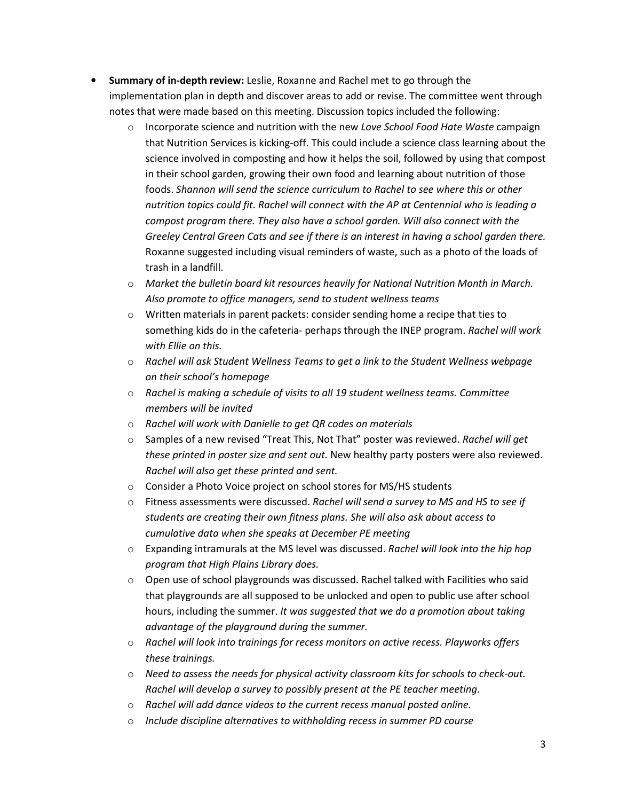- Summary of in-depth review: Leslie, Roxanne and Rachel met to go through the implementation plan in depth and discover areas to add or revise. The committee went through notes that were made based on this meeting. Discussion topics included the following:
	- $\circ$  Incorporate science and nutrition with the new Love School Food Hate Waste campaign that Nutrition Services is kicking-off. This could include a science class learning about the science involved in composting and how it helps the soil, followed by using that compost in their school garden, growing their own food and learning about nutrition of those foods. Shannon will send the science curriculum to Rachel to see where this or other nutrition topics could fit. Rachel will connect with the AP at Centennial who is leading a compost program there. They also have a school garden. Will also connect with the Greeley Central Green Cats and see if there is an interest in having a school garden there. Roxanne suggested including visual reminders of waste, such as a photo of the loads of trash in a landfill.
	- $\circ$  Market the bulletin board kit resources heavily for National Nutrition Month in March. Also promote to office managers, send to student wellness teams
	- $\circ$  Written materials in parent packets: consider sending home a recipe that ties to something kids do in the cafeteria- perhaps through the INEP program. Rachel will work with Ellie on this.
	- $\circ$  Rachel will ask Student Wellness Teams to get a link to the Student Wellness webpage on their school's homepage
	- $\circ$  Rachel is making a schedule of visits to all 19 student wellness teams. Committee members will be invited
	- o Rachel will work with Danielle to get QR codes on materials
	- $\circ$  Samples of a new revised "Treat This, Not That" poster was reviewed. Rachel will get these printed in poster size and sent out. New healthy party posters were also reviewed. Rachel will also get these printed and sent.
	- o Consider a Photo Voice project on school stores for MS/HS students
	- $\circ$  Fitness assessments were discussed. Rachel will send a survey to MS and HS to see if students are creating their own fitness plans. She will also ask about access to cumulative data when she speaks at December PE meeting
	- $\circ$  Expanding intramurals at the MS level was discussed. Rachel will look into the hip hop program that High Plains Library does.
	- $\circ$  Open use of school playgrounds was discussed. Rachel talked with Facilities who said that playgrounds are all supposed to be unlocked and open to public use after school hours, including the summer. It was suggested that we do a promotion about taking advantage of the playground during the summer.
	- $\circ$  Rachel will look into trainings for recess monitors on active recess. Playworks offers these trainings.
	- $\circ$  Need to assess the needs for physical activity classroom kits for schools to check-out. Rachel will develop a survey to possibly present at the PE teacher meeting.
	- o Rachel will add dance videos to the current recess manual posted online.
	- $\circ$  Include discipline alternatives to withholding recess in summer PD course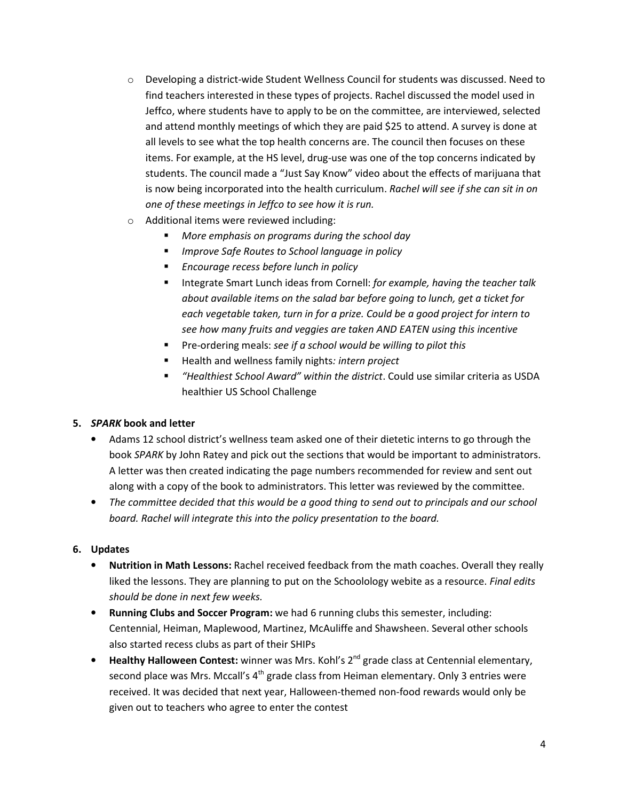- $\circ$  Developing a district-wide Student Wellness Council for students was discussed. Need to find teachers interested in these types of projects. Rachel discussed the model used in Jeffco, where students have to apply to be on the committee, are interviewed, selected and attend monthly meetings of which they are paid \$25 to attend. A survey is done at all levels to see what the top health concerns are. The council then focuses on these items. For example, at the HS level, drug-use was one of the top concerns indicated by students. The council made a "Just Say Know" video about the effects of marijuana that is now being incorporated into the health curriculum. Rachel will see if she can sit in on one of these meetings in Jeffco to see how it is run.
- o Additional items were reviewed including:
	- **More emphasis on programs during the school day**
	- **IMPROVE Safe Routes to School language in policy**
	- **Encourage recess before lunch in policy**
	- Integrate Smart Lunch ideas from Cornell: for example, having the teacher talk about available items on the salad bar before going to lunch, get a ticket for each vegetable taken, turn in for a prize. Could be a good project for intern to see how many fruits and veggies are taken AND EATEN using this incentive
	- Pre-ordering meals: see if a school would be willing to pilot this
	- Health and wellness family nights: intern project
	- "Healthiest School Award" within the district. Could use similar criteria as USDA healthier US School Challenge

# 5. SPARK book and letter

- Adams 12 school district's wellness team asked one of their dietetic interns to go through the book SPARK by John Ratey and pick out the sections that would be important to administrators. A letter was then created indicating the page numbers recommended for review and sent out along with a copy of the book to administrators. This letter was reviewed by the committee.
- The committee decided that this would be a good thing to send out to principals and our school board. Rachel will integrate this into the policy presentation to the board.

# 6. Updates

- Nutrition in Math Lessons: Rachel received feedback from the math coaches. Overall they really liked the lessons. They are planning to put on the Schoolology webite as a resource. Final edits should be done in next few weeks.
- Running Clubs and Soccer Program: we had 6 running clubs this semester, including: Centennial, Heiman, Maplewood, Martinez, McAuliffe and Shawsheen. Several other schools also started recess clubs as part of their SHIPs
- Healthy Halloween Contest: winner was Mrs. Kohl's 2<sup>nd</sup> grade class at Centennial elementary, second place was Mrs. Mccall's 4<sup>th</sup> grade class from Heiman elementary. Only 3 entries were received. It was decided that next year, Halloween-themed non-food rewards would only be given out to teachers who agree to enter the contest